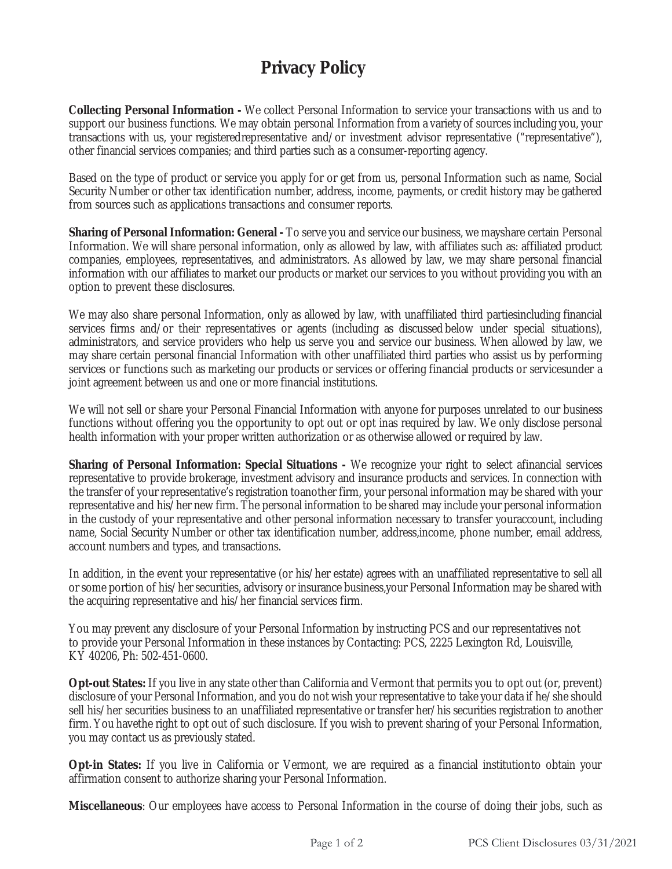## **Privacy Policy**

**Collecting Personal Information -** We collect Personal Information to service your transactions with us and to support our business functions. We may obtain personal Information from a variety of sources including you, your transactions with us, your registered representative and/or investment advisor representative ("representative"), other financial services companies; and third parties such as a consumer-reporting agency.

Based on the type of product or service you apply for or get from us, personal Information such as name, Social Security Number or other tax identification number, address, income, payments, or credit history may be gathered from sources such as applications transactions and consumer reports.

**Sharing of Personal Information: General** - To serve you and service our business, we may share certain Personal Information. We will share personal information, only as allowed by law, with affiliates such as: affiliated product companies, employees, representatives, and administrators. As allowed by law, we may share personal financial information with our affiliates to market our products or market our services to you without providing you with an option to prevent these disclosures.

We may also share personal Information, only as allowed by law, with unaffiliated third parties including financial services firms and/or their representatives or agents (including as discussed below under special situations), administrators, and service providers who help us serve you and service our business. When allowed by law, we may share certain personal financial Information with other unaffiliated third parties who assist us by performing services or functions such as marketing our products or services or offering financial products or servicesunder a joint agreement between us and one or more financial institutions.

We will not sell or share your Personal Financial Information with anyone for purposes unrelated to our business functions without offering you the opportunity to opt out or opt inas required by law. We only disclose personal health information with your proper written authorization or as otherwise allowed or required by law.

**Sharing of Personal Information: Special Situations** - We recognize your right to select afinancial services representative to provide brokerage, investment advisory and insurance products and services. In connection with the transfer of your representative's registration to another firm, your personal information may be shared with your representative and his/her new firm. The personal information to be shared may include your personal information in the custody of your representative and other personal information necessary to transfer your account, including name, Social Security Number or other tax identification number, address, income, phone number, email address, account numbers and types, and transactions.

In addition, in the event your representative (or his/her estate) agrees with an unaffiliated representative to sell all or some portion of his/her securities, advisory or insurance business, your Personal Information may be shared with the acquiring representative and his/her financial services firm.

You may prevent any disclosure of your Personal Information by instructing PCS and our representatives not to provide your Personal Information in these instances by Contacting: PCS, 2225 Lexington Rd, Louisville, KY 40206, Ph: 502-451-0600.

**Opt-out States:** If you live in any state other than California and Vermont that permits you to opt out (or, prevent) disclosure of your Personal Information, and you do not wish your representative to take your data if he/she should sell his/her securities business to an unaffiliated representative or transfer her/his securities registration to another firm. You havethe right to opt out of such disclosure. If you wish to prevent sharing of your Personal Information, you may contact us as previously stated.

**Opt-in States:** If you live in California or Vermont, we are required as a financial institution to obtain your affirmation consent to authorize sharing your Personal Information.

**Miscellaneous**: Our employees have access to Personal Information in the course of doing their jobs, such as